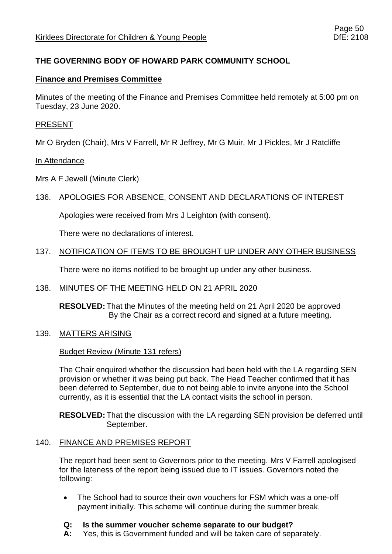## **THE GOVERNING BODY OF HOWARD PARK COMMUNITY SCHOOL**

#### **Finance and Premises Committee**

Minutes of the meeting of the Finance and Premises Committee held remotely at 5:00 pm on Tuesday, 23 June 2020.

#### PRESENT

Mr O Bryden (Chair), Mrs V Farrell, Mr R Jeffrey, Mr G Muir, Mr J Pickles, Mr J Ratcliffe

#### In Attendance

Mrs A F Jewell (Minute Clerk)

### 136. APOLOGIES FOR ABSENCE, CONSENT AND DECLARATIONS OF INTEREST

Apologies were received from Mrs J Leighton (with consent).

There were no declarations of interest.

### 137. NOTIFICATION OF ITEMS TO BE BROUGHT UP UNDER ANY OTHER BUSINESS

There were no items notified to be brought up under any other business.

### 138. MINUTES OF THE MEETING HELD ON 21 APRIL 2020

**RESOLVED:** That the Minutes of the meeting held on 21 April 2020 be approved By the Chair as a correct record and signed at a future meeting.

#### 139. MATTERS ARISING

#### Budget Review (Minute 131 refers)

The Chair enquired whether the discussion had been held with the LA regarding SEN provision or whether it was being put back. The Head Teacher confirmed that it has been deferred to September, due to not being able to invite anyone into the School currently, as it is essential that the LA contact visits the school in person.

**RESOLVED:** That the discussion with the LA regarding SEN provision be deferred until September.

### 140. FINANCE AND PREMISES REPORT

The report had been sent to Governors prior to the meeting. Mrs V Farrell apologised for the lateness of the report being issued due to IT issues. Governors noted the following:

• The School had to source their own vouchers for FSM which was a one-off payment initially. This scheme will continue during the summer break.

### **Q: Is the summer voucher scheme separate to our budget?**

**A:** Yes, this is Government funded and will be taken care of separately.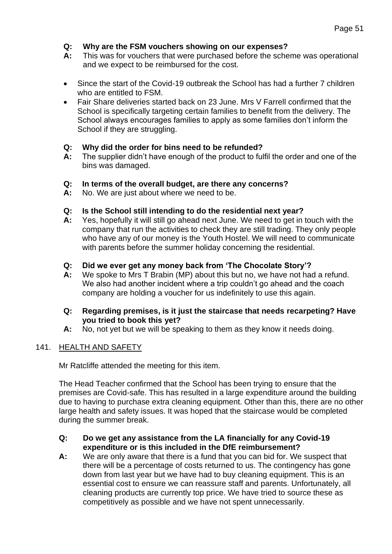## **Q: Why are the FSM vouchers showing on our expenses?**

- **A:** This was for vouchers that were purchased before the scheme was operational and we expect to be reimbursed for the cost.
- Since the start of the Covid-19 outbreak the School has had a further 7 children who are entitled to FSM.
- Fair Share deliveries started back on 23 June. Mrs V Farrell confirmed that the School is specifically targeting certain families to benefit from the delivery. The School always encourages families to apply as some families don't inform the School if they are struggling.

### **Q: Why did the order for bins need to be refunded?**

**A:** The supplier didn't have enough of the product to fulfil the order and one of the bins was damaged.

### **Q: In terms of the overall budget, are there any concerns?**

**A:** No. We are just about where we need to be.

### **Q: Is the School still intending to do the residential next year?**

- **A:** Yes, hopefully it will still go ahead next June. We need to get in touch with the company that run the activities to check they are still trading. They only people who have any of our money is the Youth Hostel. We will need to communicate with parents before the summer holiday concerning the residential.
- **Q: Did we ever get any money back from 'The Chocolate Story'?**
- **A:** We spoke to Mrs T Brabin (MP) about this but no, we have not had a refund. We also had another incident where a trip couldn't go ahead and the coach company are holding a voucher for us indefinitely to use this again.

### **Q: Regarding premises, is it just the staircase that needs recarpeting? Have you tried to book this yet?**

**A:** No, not yet but we will be speaking to them as they know it needs doing.

### 141. HEALTH AND SAFETY

Mr Ratcliffe attended the meeting for this item.

The Head Teacher confirmed that the School has been trying to ensure that the premises are Covid-safe. This has resulted in a large expenditure around the building due to having to purchase extra cleaning equipment. Other than this, there are no other large health and safety issues. It was hoped that the staircase would be completed during the summer break.

#### **Q: Do we get any assistance from the LA financially for any Covid-19 expenditure or is this included in the DfE reimbursement?**

**A:** We are only aware that there is a fund that you can bid for. We suspect that there will be a percentage of costs returned to us. The contingency has gone down from last year but we have had to buy cleaning equipment. This is an essential cost to ensure we can reassure staff and parents. Unfortunately, all cleaning products are currently top price. We have tried to source these as competitively as possible and we have not spent unnecessarily.